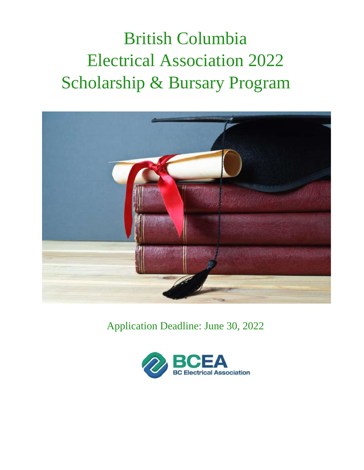# British Columbia Electrical Association 2022 Scholarship & Bursary Program



Application Deadline: June 30, 2022

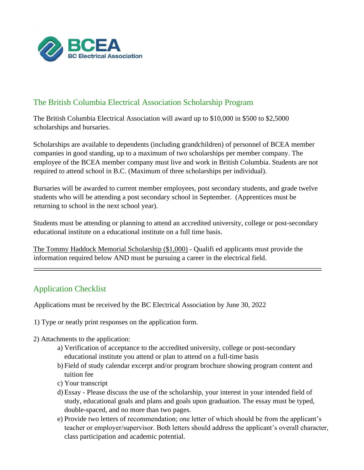

# The British Columbia Electrical Association Scholarship Program

The British Columbia Electrical Association will award up to \$10,000 in \$500 to \$2,5000 scholarships and bursaries.

Scholarships are available to dependents (including grandchildren) of personnel of BCEA member companies in good standing, up to a maximum of two scholarships per member company. The employee of the BCEA member company must live and work in British Columbia. Students are not required to attend school in B.C. (Maximum of three scholarships per individual).

Bursaries will be awarded to current member employees, post secondary students, and grade twelve students who will be attending a post secondary school in September. (Apprentices must be returning to school in the next school year).

Students must be attending or planning to attend an accredited university, college or post-secondary educational institute on a educational institute on a full time basis.

The Tommy Haddock Memorial Scholarship (\$1,000) - Qualifi ed applicants must provide the information required below AND must be pursuing a career in the electrical field.

# Application Checklist

Applications must be received by the BC Electrical Association by June 30, 2022

- 1) Type or neatly print responses on the application form.
- 2) Attachments to the application:
	- a) Verification of acceptance to the accredited university, college or post-secondary educational institute you attend or plan to attend on a full-time basis
	- b) Field of study calendar excerpt and/or program brochure showing program content and tuition fee
	- c) Your transcript
	- d) Essay Please discuss the use of the scholarship, your interest in your intended field of study, educational goals and plans and goals upon graduation. The essay must be typed, double-spaced, and no more than two pages.
	- e) Provide two letters of recommendation; one letter of which should be from the applicant's teacher or employer/supervisor. Both letters should address the applicant's overall character, class participation and academic potential.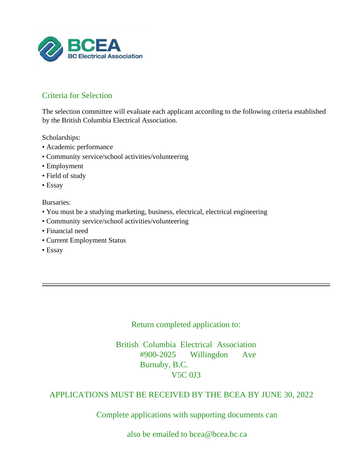

# Criteria for Selection

The selection committee will evaluate each applicant according to the following criteria established by the British Columbia Electrical Association.

Scholarships:

- Academic performance
- Community service/school activities/volunteering
- Employment
- Field of study
- Essay

Bursaries:

- You must be a studying marketing, business, electrical, electrical engineering
- Community service/school activities/volunteering
- Financial need
- Current Employment Status
- Essay

Return completed application to:

British Columbia Electrical Association #900-2025 Willingdon Ave Burnaby, B.C. V5C 0J3

#### APPLICATIONS MUST BE RECEIVED BY THE BCEA BY JUNE 30, 2022

Complete applications with supporting documents can

also be emailed to bcea@bcea.bc.ca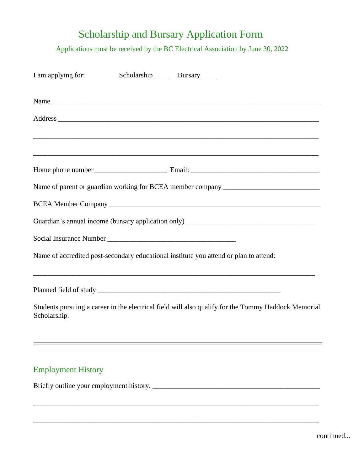# Scholarship and Bursary Application Form

Applications must be received by the BC Electrical Association by June 30, 2022

| I am applying for: | Scholarship ________ Bursary ______ |                                                                                                     |
|--------------------|-------------------------------------|-----------------------------------------------------------------------------------------------------|
|                    |                                     |                                                                                                     |
|                    |                                     |                                                                                                     |
|                    |                                     |                                                                                                     |
|                    |                                     |                                                                                                     |
|                    |                                     | Name of parent or guardian working for BCEA member company ______________________                   |
|                    |                                     |                                                                                                     |
|                    |                                     |                                                                                                     |
|                    |                                     |                                                                                                     |
|                    |                                     | Name of accredited post-secondary educational institute you attend or plan to attend:               |
|                    |                                     |                                                                                                     |
| Scholarship.       |                                     | Students pursuing a career in the electrical field will also qualify for the Tommy Haddock Memorial |
|                    |                                     |                                                                                                     |

\_\_\_\_\_\_\_\_\_\_\_\_\_\_\_\_\_\_\_\_\_\_\_\_\_\_\_\_\_\_\_\_\_\_\_\_\_\_\_\_\_\_\_\_\_\_\_\_\_\_\_\_\_\_\_\_\_\_\_\_\_\_\_\_\_\_\_\_\_\_\_\_\_\_\_\_\_\_\_\_

\_\_\_\_\_\_\_\_\_\_\_\_\_\_\_\_\_\_\_\_\_\_\_\_\_\_\_\_\_\_\_\_\_\_\_\_\_\_\_\_\_\_\_\_\_\_\_\_\_\_\_\_\_\_\_\_\_\_\_\_\_\_\_\_\_\_\_\_\_\_\_\_\_\_\_\_\_\_\_\_

# Employment History

Briefly outline your employment history. \_\_\_\_\_\_\_\_\_\_\_\_\_\_\_\_\_\_\_\_\_\_\_\_\_\_\_\_\_\_\_\_\_\_\_\_\_\_\_\_\_\_\_\_\_\_\_